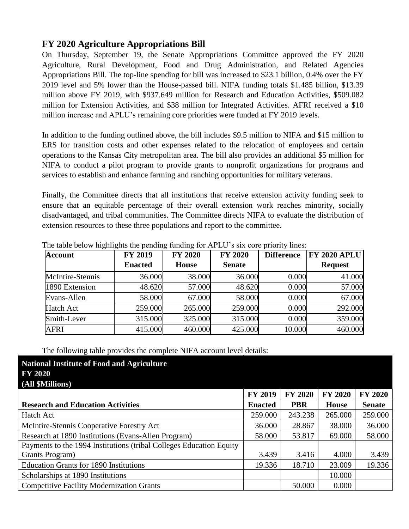## **FY 2020 Agriculture Appropriations Bill**

On Thursday, September 19, the Senate Appropriations Committee approved the FY 2020 Agriculture, Rural Development, Food and Drug Administration, and Related Agencies Appropriations Bill. The top-line spending for bill was increased to \$23.1 billion, 0.4% over the FY 2019 level and 5% lower than the House-passed bill. NIFA funding totals \$1.485 billion, \$13.39 million above FY 2019, with \$937.649 million for Research and Education Activities, \$509.082 million for Extension Activities, and \$38 million for Integrated Activities. AFRI received a \$10 million increase and APLU's remaining core priorities were funded at FY 2019 levels.

In addition to the funding outlined above, the bill includes \$9.5 million to NIFA and \$15 million to ERS for transition costs and other expenses related to the relocation of employees and certain operations to the Kansas City metropolitan area. The bill also provides an additional \$5 million for NIFA to conduct a pilot program to provide grants to nonprofit organizations for programs and services to establish and enhance farming and ranching opportunities for military veterans.

Finally, the Committee directs that all institutions that receive extension activity funding seek to ensure that an equitable percentage of their overall extension work reaches minority, socially disadvantaged, and tribal communities. The Committee directs NIFA to evaluate the distribution of extension resources to these three populations and report to the committee.

| <b>Account</b>   | <b>FY 2019</b><br><b>Enacted</b> | <b>FY 2020</b><br><b>House</b> | <b>FY 2020</b><br><b>Senate</b> | <b>Difference</b> | <b>FY 2020 APLU</b><br><b>Request</b> |
|------------------|----------------------------------|--------------------------------|---------------------------------|-------------------|---------------------------------------|
|                  |                                  |                                |                                 |                   |                                       |
| McIntire-Stennis | 36.000                           | 38.000                         | 36.000                          | 0.000             | 41.000                                |
| 1890 Extension   | 48.620                           | 57.000                         | 48.620                          | 0.000             | 57.000                                |
| Evans-Allen      | 58.000                           | 67.000                         | 58.000                          | 0.000             | 67.000                                |
| <b>Hatch Act</b> | 259.000                          | 265.000                        | 259.000                         | 0.000             | 292.000                               |
| Smith-Lever      | 315.000                          | 325.000                        | 315.000                         | 0.000             | 359.000                               |
| <b>AFRI</b>      | 415.000                          | 460.000                        | 425.000                         | 10.000            | 460.000                               |

The table below highlights the pending funding for APLU's six core priority lines:

The following table provides the complete NIFA account level details:

**National Institute of Food and Agriculture**

| <b>FY 2020</b>                                                      |                |                |                |                |
|---------------------------------------------------------------------|----------------|----------------|----------------|----------------|
| (All \$Millions)                                                    |                |                |                |                |
|                                                                     | <b>FY 2019</b> | <b>FY 2020</b> | <b>FY 2020</b> | <b>FY 2020</b> |
| <b>Research and Education Activities</b>                            | <b>Enacted</b> | <b>PBR</b>     | <b>House</b>   | <b>Senate</b>  |
| Hatch Act                                                           | 259.000        | 243.238        | 265.000        | 259.000        |
| McIntire-Stennis Cooperative Forestry Act                           | 36.000         | 28.867         | 38.000         | 36.000         |
| Research at 1890 Institutions (Evans-Allen Program)                 | 58.000         | 53.817         | 69.000         | 58.000         |
| Payments to the 1994 Institutions (tribal Colleges Education Equity |                |                |                |                |
| Grants Program)                                                     | 3.439          | 3.416          | 4.000          | 3.439          |
| <b>Education Grants for 1890 Institutions</b>                       | 19.336         | 18.710         | 23.009         | 19.336         |
| Scholarships at 1890 Institutions                                   |                |                | 10.000         |                |
| <b>Competitive Facility Modernization Grants</b>                    |                | 50.000         | 0.000          |                |
|                                                                     |                |                |                |                |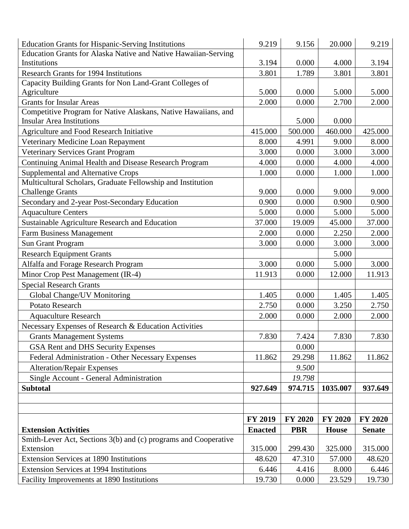| <b>Education Grants for Hispanic-Serving Institutions</b>                                          | 9.219          | 9.156          | 20.000         | 9.219          |
|----------------------------------------------------------------------------------------------------|----------------|----------------|----------------|----------------|
| Education Grants for Alaska Native and Native Hawaiian-Serving                                     |                |                |                |                |
| Institutions                                                                                       | 3.194          | 0.000          | 4.000          | 3.194          |
| <b>Research Grants for 1994 Institutions</b>                                                       | 3.801          | 1.789          | 3.801          | 3.801          |
| Capacity Building Grants for Non Land-Grant Colleges of                                            |                |                |                |                |
| Agriculture                                                                                        | 5.000          | 0.000          | 5.000          | 5.000          |
| <b>Grants for Insular Areas</b>                                                                    | 2.000          | 0.000          | 2.700          | 2.000          |
| Competitive Program for Native Alaskans, Native Hawaiians, and<br><b>Insular Area Institutions</b> |                | 5.000          | 0.000          |                |
| Agriculture and Food Research Initiative                                                           | 415.000        | 500.000        | 460.000        | 425.000        |
| Veterinary Medicine Loan Repayment                                                                 | 8.000          | 4.991          | 9.000          | 8.000          |
| Veterinary Services Grant Program                                                                  | 3.000          | 0.000          | 3.000          | 3.000          |
| Continuing Animal Health and Disease Research Program                                              | 4.000          | 0.000          | 4.000          | 4.000          |
| <b>Supplemental and Alternative Crops</b>                                                          | 1.000          | 0.000          | 1.000          | 1.000          |
| Multicultural Scholars, Graduate Fellowship and Institution                                        |                |                |                |                |
| <b>Challenge Grants</b>                                                                            | 9.000          | 0.000          | 9.000          | 9.000          |
| Secondary and 2-year Post-Secondary Education                                                      | 0.900          | 0.000          | 0.900          | 0.900          |
| <b>Aquaculture Centers</b>                                                                         | 5.000          | 0.000          | 5.000          | 5.000          |
| Sustainable Agriculture Research and Education                                                     | 37.000         | 19.009         | 45.000         | 37.000         |
| <b>Farm Business Management</b>                                                                    | 2.000          | 0.000          | 2.250          | 2.000          |
| <b>Sun Grant Program</b>                                                                           | 3.000          | 0.000          | 3.000          | 3.000          |
| <b>Research Equipment Grants</b>                                                                   |                |                | 5.000          |                |
| Alfalfa and Forage Research Program                                                                | 3.000          | 0.000          | 5.000          | 3.000          |
| Minor Crop Pest Management (IR-4)                                                                  | 11.913         | 0.000          | 12.000         | 11.913         |
| <b>Special Research Grants</b>                                                                     |                |                |                |                |
| Global Change/UV Monitoring                                                                        | 1.405          | 0.000          | 1.405          | 1.405          |
| Potato Research                                                                                    | 2.750          | 0.000          | 3.250          | 2.750          |
| <b>Aquaculture Research</b>                                                                        | 2.000          | 0.000          | 2.000          | 2.000          |
| Necessary Expenses of Research & Education Activities                                              |                |                |                |                |
| <b>Grants Management Systems</b>                                                                   | 7.830          | 7.424          | 7.830          | 7.830          |
| GSA Rent and DHS Security Expenses                                                                 |                | 0.000          |                |                |
| Federal Administration - Other Necessary Expenses                                                  | 11.862         | 29.298         | 11.862         | 11.862         |
| <b>Alteration/Repair Expenses</b>                                                                  |                | 9.500          |                |                |
| Single Account - General Administration                                                            |                | 19.798         |                |                |
| <b>Subtotal</b>                                                                                    | 927.649        | 974.715        | 1035.007       | 937.649        |
|                                                                                                    |                |                |                |                |
|                                                                                                    |                |                |                |                |
|                                                                                                    | <b>FY 2019</b> | <b>FY 2020</b> | <b>FY 2020</b> | <b>FY 2020</b> |
| <b>Extension Activities</b>                                                                        | <b>Enacted</b> | <b>PBR</b>     | <b>House</b>   | <b>Senate</b>  |
| Smith-Lever Act, Sections 3(b) and (c) programs and Cooperative                                    |                |                |                |                |
| Extension                                                                                          | 315.000        | 299.430        | 325.000        | 315.000        |
| Extension Services at 1890 Institutions                                                            | 48.620         | 47.310         | 57.000         | 48.620         |
| <b>Extension Services at 1994 Institutions</b>                                                     | 6.446          | 4.416          | 8.000          | 6.446          |
| Facility Improvements at 1890 Institutions                                                         | 19.730         | 0.000          | 23.529         | 19.730         |